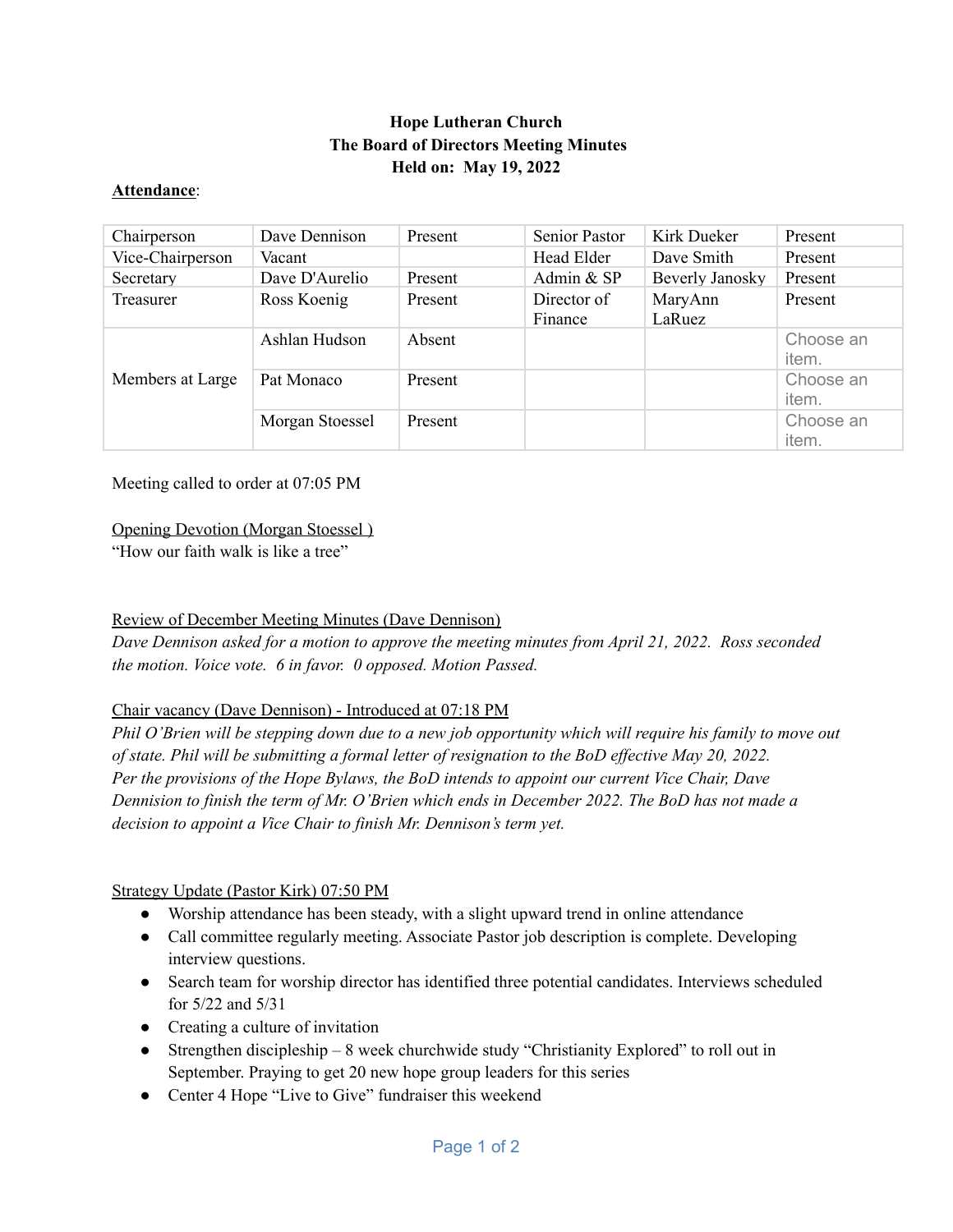# **Hope Lutheran Church The Board of Directors Meeting Minutes Held on: May 19, 2022**

#### **Attendance**:

| Chairperson      | Dave Dennison   | Present | Senior Pastor          | Kirk Dueker       | Present            |
|------------------|-----------------|---------|------------------------|-------------------|--------------------|
| Vice-Chairperson | Vacant          |         | Head Elder             | Dave Smith        | Present            |
| Secretary        | Dave D'Aurelio  | Present | Admin & SP             | Beverly Janosky   | Present            |
| Treasurer        | Ross Koenig     | Present | Director of<br>Finance | MaryAnn<br>LaRuez | Present            |
| Members at Large | Ashlan Hudson   | Absent  |                        |                   | Choose an<br>item. |
|                  | Pat Monaco      | Present |                        |                   | Choose an<br>item. |
|                  | Morgan Stoessel | Present |                        |                   | Choose an<br>item. |

Meeting called to order at 07:05 PM

## Opening Devotion (Morgan Stoessel )

"How our faith walk is like a tree"

## Review of December Meeting Minutes (Dave Dennison)

*Dave Dennison asked for a motion to approve the meeting minutes from April 21, 2022. Ross seconded the motion. Voice vote. 6 in favor. 0 opposed. Motion Passed.*

## Chair vacancy (Dave Dennison) - Introduced at 07:18 PM

Phil O'Brien will be stepping down due to a new job opportunity which will require his family to move out of state. Phil will be submitting a formal letter of resignation to the BoD effective May 20, 2022. *Per the provisions of the Hope Bylaws, the BoD intends to appoint our current Vice Chair, Dave* Dennision to finish the term of Mr. O'Brien which ends in December 2022. The BoD has not made a *decision to appoint a Vice Chair to finish Mr. Dennison's term yet.*

## Strategy Update (Pastor Kirk) 07:50 PM

- Worship attendance has been steady, with a slight upward trend in online attendance
- Call committee regularly meeting. Associate Pastor job description is complete. Developing interview questions.
- Search team for worship director has identified three potential candidates. Interviews scheduled for 5/22 and 5/31
- Creating a culture of invitation
- Strengthen discipleship 8 week churchwide study "Christianity Explored" to roll out in September. Praying to get 20 new hope group leaders for this series
- Center 4 Hope "Live to Give" fundraiser this weekend